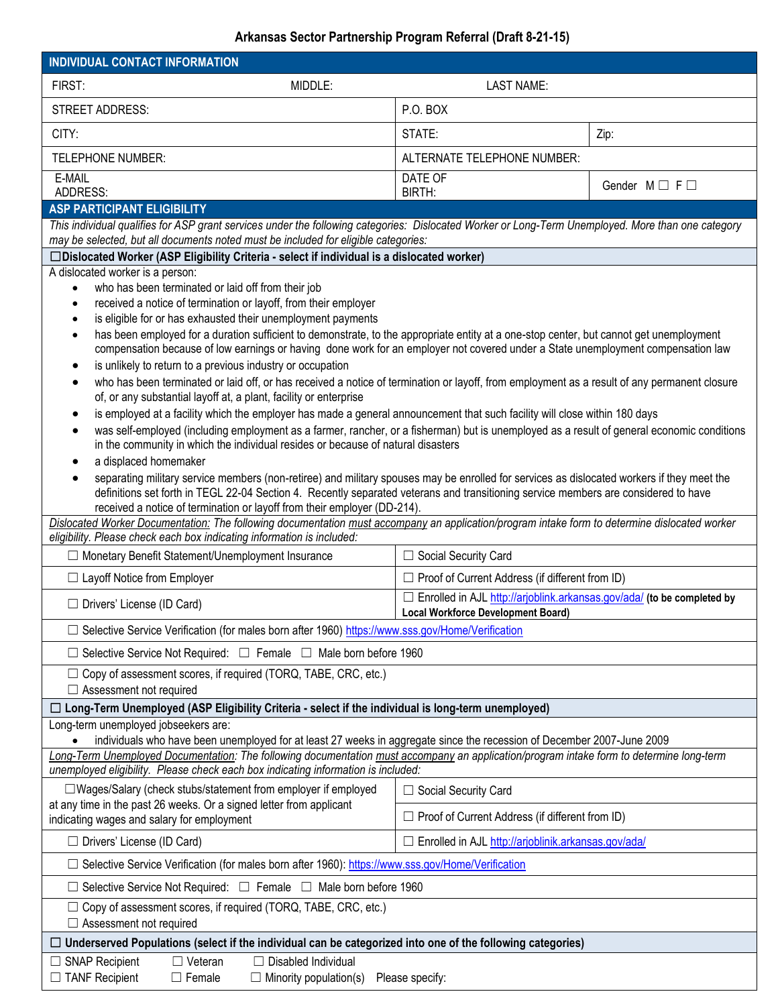## **Arkansas Sector Partnership Program Referral (Draft 8-21-15)**

| <b>INDIVIDUAL CONTACT INFORMATION</b>                                                                                                                                                                                                                                                                                                                                                                                                                                                                                                                                                                                                                                                                                                                                                                                                                                                                                                                                                                                                                                                                                                                                                                                                                                                                                                                                                                                                                                                                                                                                                                                                                                                   |                                                                                                                       |                                                            |      |  |  |  |  |  |  |
|-----------------------------------------------------------------------------------------------------------------------------------------------------------------------------------------------------------------------------------------------------------------------------------------------------------------------------------------------------------------------------------------------------------------------------------------------------------------------------------------------------------------------------------------------------------------------------------------------------------------------------------------------------------------------------------------------------------------------------------------------------------------------------------------------------------------------------------------------------------------------------------------------------------------------------------------------------------------------------------------------------------------------------------------------------------------------------------------------------------------------------------------------------------------------------------------------------------------------------------------------------------------------------------------------------------------------------------------------------------------------------------------------------------------------------------------------------------------------------------------------------------------------------------------------------------------------------------------------------------------------------------------------------------------------------------------|-----------------------------------------------------------------------------------------------------------------------|------------------------------------------------------------|------|--|--|--|--|--|--|
| FIRST:                                                                                                                                                                                                                                                                                                                                                                                                                                                                                                                                                                                                                                                                                                                                                                                                                                                                                                                                                                                                                                                                                                                                                                                                                                                                                                                                                                                                                                                                                                                                                                                                                                                                                  | MIDDLE:                                                                                                               | <b>LAST NAME:</b>                                          |      |  |  |  |  |  |  |
| STREET ADDRESS:                                                                                                                                                                                                                                                                                                                                                                                                                                                                                                                                                                                                                                                                                                                                                                                                                                                                                                                                                                                                                                                                                                                                                                                                                                                                                                                                                                                                                                                                                                                                                                                                                                                                         | P.O. BOX                                                                                                              |                                                            |      |  |  |  |  |  |  |
| CITY:                                                                                                                                                                                                                                                                                                                                                                                                                                                                                                                                                                                                                                                                                                                                                                                                                                                                                                                                                                                                                                                                                                                                                                                                                                                                                                                                                                                                                                                                                                                                                                                                                                                                                   |                                                                                                                       | STATE:                                                     | Zip: |  |  |  |  |  |  |
| TELEPHONE NUMBER:                                                                                                                                                                                                                                                                                                                                                                                                                                                                                                                                                                                                                                                                                                                                                                                                                                                                                                                                                                                                                                                                                                                                                                                                                                                                                                                                                                                                                                                                                                                                                                                                                                                                       | ALTERNATE TELEPHONE NUMBER:                                                                                           |                                                            |      |  |  |  |  |  |  |
| E-MAIL<br><b>ADDRESS:</b>                                                                                                                                                                                                                                                                                                                                                                                                                                                                                                                                                                                                                                                                                                                                                                                                                                                                                                                                                                                                                                                                                                                                                                                                                                                                                                                                                                                                                                                                                                                                                                                                                                                               |                                                                                                                       | DATE OF<br>Gender $M \square F \square$                    |      |  |  |  |  |  |  |
| BIRTH:<br><b>ASP PARTICIPANT ELIGIBILITY</b>                                                                                                                                                                                                                                                                                                                                                                                                                                                                                                                                                                                                                                                                                                                                                                                                                                                                                                                                                                                                                                                                                                                                                                                                                                                                                                                                                                                                                                                                                                                                                                                                                                            |                                                                                                                       |                                                            |      |  |  |  |  |  |  |
| This individual qualifies for ASP grant services under the following categories: Dislocated Worker or Long-Term Unemployed. More than one category<br>may be selected, but all documents noted must be included for eligible categories:                                                                                                                                                                                                                                                                                                                                                                                                                                                                                                                                                                                                                                                                                                                                                                                                                                                                                                                                                                                                                                                                                                                                                                                                                                                                                                                                                                                                                                                |                                                                                                                       |                                                            |      |  |  |  |  |  |  |
| □Dislocated Worker (ASP Eligibility Criteria - select if individual is a dislocated worker)                                                                                                                                                                                                                                                                                                                                                                                                                                                                                                                                                                                                                                                                                                                                                                                                                                                                                                                                                                                                                                                                                                                                                                                                                                                                                                                                                                                                                                                                                                                                                                                             |                                                                                                                       |                                                            |      |  |  |  |  |  |  |
| A dislocated worker is a person:<br>who has been terminated or laid off from their job<br>$\bullet$<br>received a notice of termination or layoff, from their employer<br>$\bullet$<br>is eligible for or has exhausted their unemployment payments<br>$\bullet$<br>has been employed for a duration sufficient to demonstrate, to the appropriate entity at a one-stop center, but cannot get unemployment<br>$\bullet$<br>compensation because of low earnings or having done work for an employer not covered under a State unemployment compensation law<br>is unlikely to return to a previous industry or occupation<br>$\bullet$<br>who has been terminated or laid off, or has received a notice of termination or layoff, from employment as a result of any permanent closure<br>$\bullet$<br>of, or any substantial layoff at, a plant, facility or enterprise<br>is employed at a facility which the employer has made a general announcement that such facility will close within 180 days<br>$\bullet$<br>was self-employed (including employment as a farmer, rancher, or a fisherman) but is unemployed as a result of general economic conditions<br>$\bullet$<br>in the community in which the individual resides or because of natural disasters<br>a displaced homemaker<br>$\bullet$<br>separating military service members (non-retiree) and military spouses may be enrolled for services as dislocated workers if they meet the<br>$\bullet$<br>definitions set forth in TEGL 22-04 Section 4. Recently separated veterans and transitioning service members are considered to have<br>received a notice of termination or layoff from their employer (DD-214). |                                                                                                                       |                                                            |      |  |  |  |  |  |  |
| Dislocated Worker Documentation: The following documentation must accompany an application/program intake form to determine dislocated worker<br>eligibility. Please check each box indicating information is included:                                                                                                                                                                                                                                                                                                                                                                                                                                                                                                                                                                                                                                                                                                                                                                                                                                                                                                                                                                                                                                                                                                                                                                                                                                                                                                                                                                                                                                                                 |                                                                                                                       |                                                            |      |  |  |  |  |  |  |
| □ Monetary Benefit Statement/Unemployment Insurance<br>□ Social Security Card                                                                                                                                                                                                                                                                                                                                                                                                                                                                                                                                                                                                                                                                                                                                                                                                                                                                                                                                                                                                                                                                                                                                                                                                                                                                                                                                                                                                                                                                                                                                                                                                           |                                                                                                                       |                                                            |      |  |  |  |  |  |  |
|                                                                                                                                                                                                                                                                                                                                                                                                                                                                                                                                                                                                                                                                                                                                                                                                                                                                                                                                                                                                                                                                                                                                                                                                                                                                                                                                                                                                                                                                                                                                                                                                                                                                                         | □ Proof of Current Address (if different from ID)<br>□ Layoff Notice from Employer                                    |                                                            |      |  |  |  |  |  |  |
| $\Box$ Drivers' License (ID Card)                                                                                                                                                                                                                                                                                                                                                                                                                                                                                                                                                                                                                                                                                                                                                                                                                                                                                                                                                                                                                                                                                                                                                                                                                                                                                                                                                                                                                                                                                                                                                                                                                                                       | □ Enrolled in AJL http://arjoblink.arkansas.gov/ada/ (to be completed by<br><b>Local Workforce Development Board)</b> |                                                            |      |  |  |  |  |  |  |
| □ Selective Service Verification (for males born after 1960) https://www.sss.gov/Home/Verification                                                                                                                                                                                                                                                                                                                                                                                                                                                                                                                                                                                                                                                                                                                                                                                                                                                                                                                                                                                                                                                                                                                                                                                                                                                                                                                                                                                                                                                                                                                                                                                      |                                                                                                                       |                                                            |      |  |  |  |  |  |  |
| $\Box$ Selective Service Not Required: $\Box$ Female $\Box$ Male born before 1960                                                                                                                                                                                                                                                                                                                                                                                                                                                                                                                                                                                                                                                                                                                                                                                                                                                                                                                                                                                                                                                                                                                                                                                                                                                                                                                                                                                                                                                                                                                                                                                                       |                                                                                                                       |                                                            |      |  |  |  |  |  |  |
| $\Box$ Copy of assessment scores, if required (TORQ, TABE, CRC, etc.)<br>$\Box$ Assessment not required                                                                                                                                                                                                                                                                                                                                                                                                                                                                                                                                                                                                                                                                                                                                                                                                                                                                                                                                                                                                                                                                                                                                                                                                                                                                                                                                                                                                                                                                                                                                                                                 |                                                                                                                       |                                                            |      |  |  |  |  |  |  |
| $\Box$ Long-Term Unemployed (ASP Eligibility Criteria - select if the individual is long-term unemployed)                                                                                                                                                                                                                                                                                                                                                                                                                                                                                                                                                                                                                                                                                                                                                                                                                                                                                                                                                                                                                                                                                                                                                                                                                                                                                                                                                                                                                                                                                                                                                                               |                                                                                                                       |                                                            |      |  |  |  |  |  |  |
| Long-term unemployed jobseekers are:                                                                                                                                                                                                                                                                                                                                                                                                                                                                                                                                                                                                                                                                                                                                                                                                                                                                                                                                                                                                                                                                                                                                                                                                                                                                                                                                                                                                                                                                                                                                                                                                                                                    |                                                                                                                       |                                                            |      |  |  |  |  |  |  |
| individuals who have been unemployed for at least 27 weeks in aggregate since the recession of December 2007-June 2009<br>Long-Term Unemployed Documentation: The following documentation must accompany an application/program intake form to determine long-term                                                                                                                                                                                                                                                                                                                                                                                                                                                                                                                                                                                                                                                                                                                                                                                                                                                                                                                                                                                                                                                                                                                                                                                                                                                                                                                                                                                                                      |                                                                                                                       |                                                            |      |  |  |  |  |  |  |
| unemployed eligibility. Please check each box indicating information is included:                                                                                                                                                                                                                                                                                                                                                                                                                                                                                                                                                                                                                                                                                                                                                                                                                                                                                                                                                                                                                                                                                                                                                                                                                                                                                                                                                                                                                                                                                                                                                                                                       |                                                                                                                       |                                                            |      |  |  |  |  |  |  |
| □Wages/Salary (check stubs/statement from employer if employed<br>at any time in the past 26 weeks. Or a signed letter from applicant                                                                                                                                                                                                                                                                                                                                                                                                                                                                                                                                                                                                                                                                                                                                                                                                                                                                                                                                                                                                                                                                                                                                                                                                                                                                                                                                                                                                                                                                                                                                                   |                                                                                                                       | □ Social Security Card                                     |      |  |  |  |  |  |  |
| indicating wages and salary for employment                                                                                                                                                                                                                                                                                                                                                                                                                                                                                                                                                                                                                                                                                                                                                                                                                                                                                                                                                                                                                                                                                                                                                                                                                                                                                                                                                                                                                                                                                                                                                                                                                                              |                                                                                                                       | $\Box$ Proof of Current Address (if different from ID)     |      |  |  |  |  |  |  |
| $\Box$ Drivers' License (ID Card)                                                                                                                                                                                                                                                                                                                                                                                                                                                                                                                                                                                                                                                                                                                                                                                                                                                                                                                                                                                                                                                                                                                                                                                                                                                                                                                                                                                                                                                                                                                                                                                                                                                       |                                                                                                                       | $\Box$ Enrolled in AJL http://arjoblinik.arkansas.gov/ada/ |      |  |  |  |  |  |  |
| □ Selective Service Verification (for males born after 1960): https://www.sss.gov/Home/Verification                                                                                                                                                                                                                                                                                                                                                                                                                                                                                                                                                                                                                                                                                                                                                                                                                                                                                                                                                                                                                                                                                                                                                                                                                                                                                                                                                                                                                                                                                                                                                                                     |                                                                                                                       |                                                            |      |  |  |  |  |  |  |
| $\Box$ Selective Service Not Required: $\Box$ Female $\Box$ Male born before 1960                                                                                                                                                                                                                                                                                                                                                                                                                                                                                                                                                                                                                                                                                                                                                                                                                                                                                                                                                                                                                                                                                                                                                                                                                                                                                                                                                                                                                                                                                                                                                                                                       |                                                                                                                       |                                                            |      |  |  |  |  |  |  |
| □ Copy of assessment scores, if required (TORQ, TABE, CRC, etc.)<br>$\Box$ Assessment not required                                                                                                                                                                                                                                                                                                                                                                                                                                                                                                                                                                                                                                                                                                                                                                                                                                                                                                                                                                                                                                                                                                                                                                                                                                                                                                                                                                                                                                                                                                                                                                                      |                                                                                                                       |                                                            |      |  |  |  |  |  |  |
| $\Box$ Underserved Populations (select if the individual can be categorized into one of the following categories)                                                                                                                                                                                                                                                                                                                                                                                                                                                                                                                                                                                                                                                                                                                                                                                                                                                                                                                                                                                                                                                                                                                                                                                                                                                                                                                                                                                                                                                                                                                                                                       |                                                                                                                       |                                                            |      |  |  |  |  |  |  |
| $\Box$ Disabled Individual<br>$\Box$ SNAP Recipient<br>$\Box$ Veteran<br>$\Box$ TANF Recipient<br>$\Box$ Female<br>$\Box$ Minority population(s)<br>Please specify:                                                                                                                                                                                                                                                                                                                                                                                                                                                                                                                                                                                                                                                                                                                                                                                                                                                                                                                                                                                                                                                                                                                                                                                                                                                                                                                                                                                                                                                                                                                     |                                                                                                                       |                                                            |      |  |  |  |  |  |  |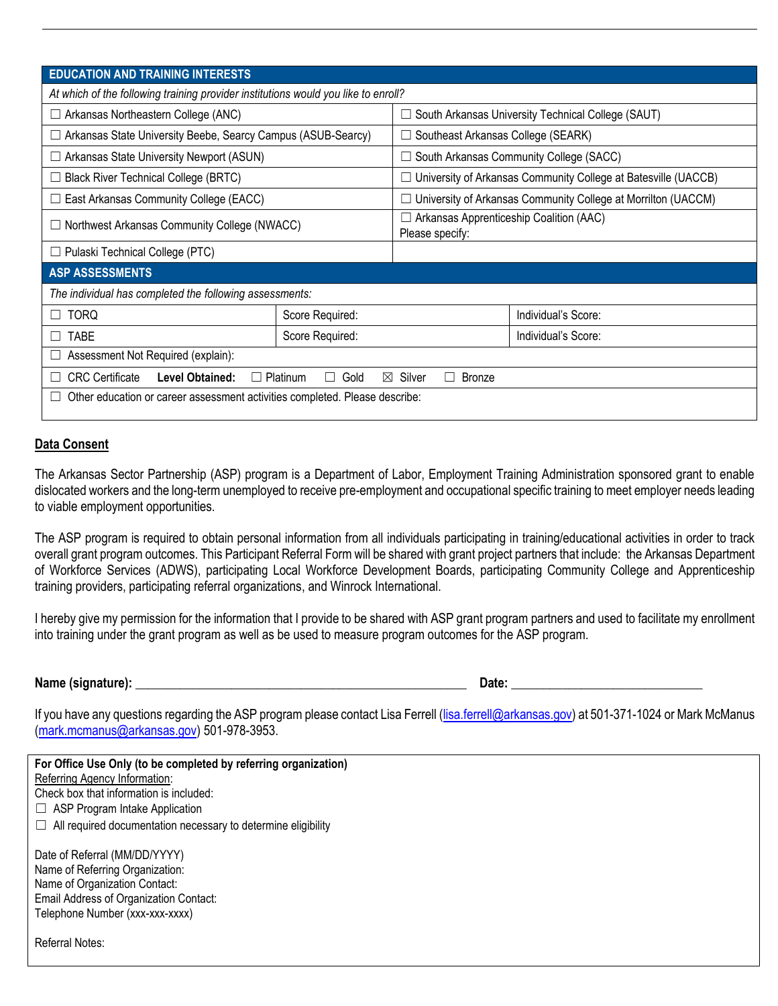| <b>EDUCATION AND TRAINING INTERESTS</b>                                                                        |                 |                                                                |                                                               |  |  |  |  |
|----------------------------------------------------------------------------------------------------------------|-----------------|----------------------------------------------------------------|---------------------------------------------------------------|--|--|--|--|
| At which of the following training provider institutions would you like to enroll?                             |                 |                                                                |                                                               |  |  |  |  |
| $\Box$ Arkansas Northeastern College (ANC)                                                                     |                 | South Arkansas University Technical College (SAUT)             |                                                               |  |  |  |  |
| $\Box$ Arkansas State University Beebe, Searcy Campus (ASUB-Searcy)                                            |                 | Southeast Arkansas College (SEARK)                             |                                                               |  |  |  |  |
| $\Box$ Arkansas State University Newport (ASUN)                                                                |                 | $\Box$ South Arkansas Community College (SACC)                 |                                                               |  |  |  |  |
| $\Box$ Black River Technical College (BRTC)                                                                    |                 | University of Arkansas Community College at Batesville (UACCB) |                                                               |  |  |  |  |
| $\Box$ East Arkansas Community College (EACC)                                                                  |                 |                                                                | University of Arkansas Community College at Morrilton (UACCM) |  |  |  |  |
| □ Northwest Arkansas Community College (NWACC)                                                                 |                 | Arkansas Apprenticeship Coalition (AAC)<br>Please specify:     |                                                               |  |  |  |  |
| $\Box$ Pulaski Technical College (PTC)                                                                         |                 |                                                                |                                                               |  |  |  |  |
| <b>ASP ASSESSMENTS</b>                                                                                         |                 |                                                                |                                                               |  |  |  |  |
| The individual has completed the following assessments:                                                        |                 |                                                                |                                                               |  |  |  |  |
| <b>TORQ</b>                                                                                                    | Score Required: |                                                                | Individual's Score:                                           |  |  |  |  |
| <b>TABE</b><br>$\mathbf{I}$                                                                                    | Score Required: |                                                                | Individual's Score:                                           |  |  |  |  |
| Assessment Not Required (explain):                                                                             |                 |                                                                |                                                               |  |  |  |  |
| <b>CRC</b> Certificate<br><b>Level Obtained:</b><br>Silver<br>Bronze<br>$\Box$ Platinum<br>Gold<br>$\boxtimes$ |                 |                                                                |                                                               |  |  |  |  |
| Other education or career assessment activities completed. Please describe:                                    |                 |                                                                |                                                               |  |  |  |  |

## **Data Consent**

The Arkansas Sector Partnership (ASP) program is a Department of Labor, Employment Training Administration sponsored grant to enable dislocated workers and the long-term unemployed to receive pre-employment and occupational specific training to meet employer needs leading to viable employment opportunities.

The ASP program is required to obtain personal information from all individuals participating in training/educational activities in order to track overall grant program outcomes. This Participant Referral Form will be shared with grant project partners that include: the Arkansas Department of Workforce Services (ADWS), participating Local Workforce Development Boards, participating Community College and Apprenticeship training providers, participating referral organizations, and Winrock International.

I hereby give my permission for the information that I provide to be shared with ASP grant program partners and used to facilitate my enrollment into training under the grant program as well as be used to measure program outcomes for the ASP program.

**Name (signature):** \_\_\_\_\_\_\_\_\_\_\_\_\_\_\_\_\_\_\_\_\_\_\_\_\_\_\_\_\_\_\_\_\_\_\_\_\_\_\_\_\_\_\_\_\_\_\_\_\_\_\_\_ **Date:** \_\_\_\_\_\_\_\_\_\_\_\_\_\_\_\_\_\_\_\_\_\_\_\_\_\_\_\_\_\_

If you have any questions regarding the ASP program please contact Lisa Ferrell [\(lisa.ferrell@arkansas.gov\)](mailto:lisa.ferrell@arkansas.gov) at 501-371-1024 or Mark McManus [\(mark.mcmanus@arkansas.gov\)](mailto:mark.mcmanus@arkansas.gov) 501-978-3953.

| For Office Use Only (to be completed by referring organization)<br>Referring Agency Information:<br>Check box that information is included:<br>ASP Program Intake Application  |
|--------------------------------------------------------------------------------------------------------------------------------------------------------------------------------|
| All required documentation necessary to determine eligibility                                                                                                                  |
| Date of Referral (MM/DD/YYYY)<br>Name of Referring Organization:<br>Name of Organization Contact:<br>Email Address of Organization Contact:<br>Telephone Number (xxx-xxx-xxxx) |
| Referral Notes:                                                                                                                                                                |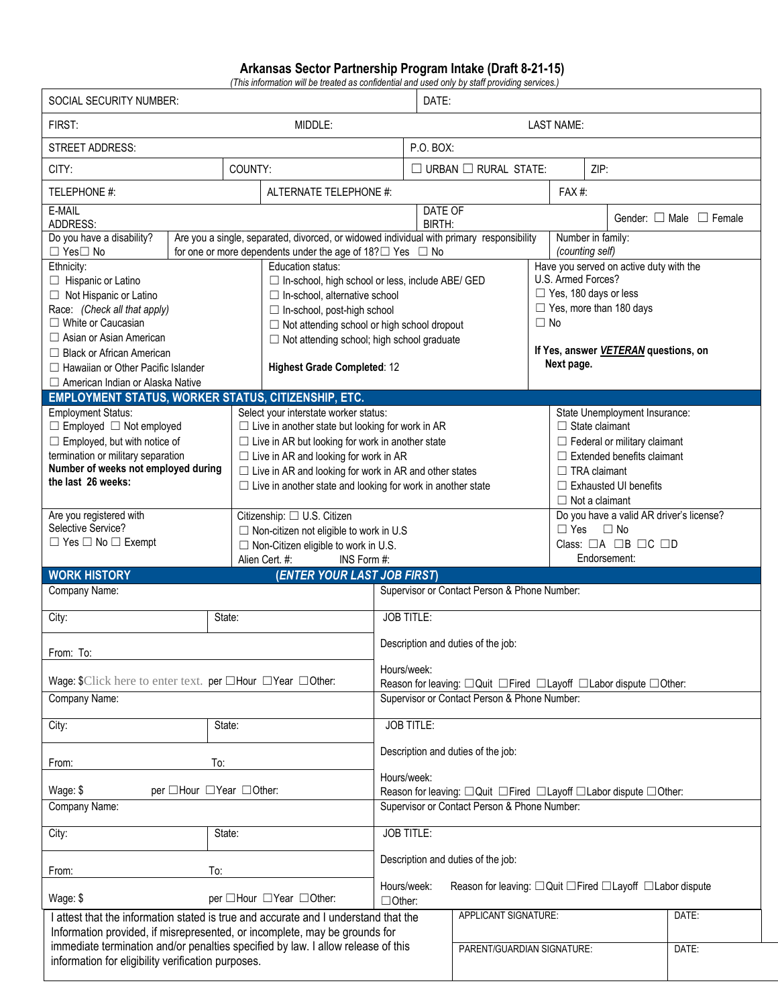## **Arkansas Sector Partnership Program Intake (Draft 8-21-15)**

|                                                                                                                                                                   |                             | (This information will be treated as confidential and used only by staff providing services.)                                                                          |                                                                 |                                                                                         |                                              |                                     |                                      |                                            |                                   |  |
|-------------------------------------------------------------------------------------------------------------------------------------------------------------------|-----------------------------|------------------------------------------------------------------------------------------------------------------------------------------------------------------------|-----------------------------------------------------------------|-----------------------------------------------------------------------------------------|----------------------------------------------|-------------------------------------|--------------------------------------|--------------------------------------------|-----------------------------------|--|
| SOCIAL SECURITY NUMBER:                                                                                                                                           |                             |                                                                                                                                                                        |                                                                 | DATE:                                                                                   |                                              |                                     |                                      |                                            |                                   |  |
| FIRST:<br>MIDDLE:                                                                                                                                                 |                             |                                                                                                                                                                        |                                                                 | <b>LAST NAME:</b>                                                                       |                                              |                                     |                                      |                                            |                                   |  |
| <b>STREET ADDRESS:</b>                                                                                                                                            |                             |                                                                                                                                                                        |                                                                 | P.O. BOX:                                                                               |                                              |                                     |                                      |                                            |                                   |  |
| CITY:<br>COUNTY:                                                                                                                                                  |                             |                                                                                                                                                                        |                                                                 |                                                                                         | $\Box$ URBAN $\Box$ RURAL STATE:             |                                     | ZIP:                                 |                                            |                                   |  |
| TELEPHONE #:                                                                                                                                                      |                             | ALTERNATE TELEPHONE #:                                                                                                                                                 |                                                                 |                                                                                         |                                              |                                     | FAX#:                                |                                            |                                   |  |
| E-MAIL<br>ADDRESS:                                                                                                                                                |                             |                                                                                                                                                                        |                                                                 | DATE OF<br>BIRTH:                                                                       |                                              |                                     |                                      |                                            | Gender: $\Box$ Male $\Box$ Female |  |
| Do you have a disability?<br>$\Box$ Yes $\Box$ No                                                                                                                 |                             | Are you a single, separated, divorced, or widowed individual with primary responsibility<br>for one or more dependents under the age of $18? \square$ Yes $\square$ No |                                                                 |                                                                                         |                                              |                                     | Number in family:<br>(counting self) |                                            |                                   |  |
| Ethnicity:                                                                                                                                                        |                             | Education status:                                                                                                                                                      |                                                                 |                                                                                         |                                              |                                     |                                      | Have you served on active duty with the    |                                   |  |
| $\Box$ Hispanic or Latino                                                                                                                                         |                             | □ In-school, high school or less, include ABE/ GED                                                                                                                     |                                                                 |                                                                                         |                                              |                                     | U.S. Armed Forces?                   |                                            |                                   |  |
| $\Box$ Not Hispanic or Latino                                                                                                                                     |                             | □ In-school, alternative school                                                                                                                                        |                                                                 |                                                                                         |                                              |                                     | □ Yes, 180 days or less              |                                            |                                   |  |
| Race: (Check all that apply)                                                                                                                                      |                             | □ In-school, post-high school                                                                                                                                          |                                                                 |                                                                                         |                                              |                                     | $\Box$ Yes, more than 180 days       |                                            |                                   |  |
| □ White or Caucasian                                                                                                                                              |                             | $\Box$ Not attending school or high school dropout                                                                                                                     |                                                                 |                                                                                         |                                              | $\Box$ No                           |                                      |                                            |                                   |  |
| $\Box$ Asian or Asian American                                                                                                                                    |                             | $\Box$ Not attending school; high school graduate                                                                                                                      |                                                                 |                                                                                         |                                              |                                     |                                      |                                            |                                   |  |
| $\Box$ Black or African American                                                                                                                                  |                             |                                                                                                                                                                        |                                                                 |                                                                                         |                                              |                                     |                                      | If Yes, answer VETERAN questions, on       |                                   |  |
| $\Box$ Hawaiian or Other Pacific Islander                                                                                                                         |                             | <b>Highest Grade Completed: 12</b>                                                                                                                                     |                                                                 |                                                                                         |                                              | Next page.                          |                                      |                                            |                                   |  |
| $\Box$ American Indian or Alaska Native                                                                                                                           |                             |                                                                                                                                                                        |                                                                 |                                                                                         |                                              |                                     |                                      |                                            |                                   |  |
| EMPLOYMENT STATUS, WORKER STATUS, CITIZENSHIP, ETC.                                                                                                               |                             |                                                                                                                                                                        |                                                                 |                                                                                         |                                              |                                     |                                      |                                            |                                   |  |
| <b>Employment Status:</b>                                                                                                                                         |                             | Select your interstate worker status:                                                                                                                                  |                                                                 |                                                                                         |                                              |                                     |                                      | State Unemployment Insurance:              |                                   |  |
| $\Box$ Employed $\Box$ Not employed                                                                                                                               |                             | $\Box$ Live in another state but looking for work in AR                                                                                                                |                                                                 |                                                                                         |                                              |                                     | $\Box$ State claimant                |                                            |                                   |  |
| $\Box$ Employed, but with notice of                                                                                                                               |                             | $\Box$ Live in AR but looking for work in another state                                                                                                                |                                                                 |                                                                                         |                                              | $\Box$ Federal or military claimant |                                      |                                            |                                   |  |
| termination or military separation                                                                                                                                |                             | $\Box$ Live in AR and looking for work in AR                                                                                                                           |                                                                 |                                                                                         |                                              |                                     |                                      | $\Box$ Extended benefits claimant          |                                   |  |
| Number of weeks not employed during                                                                                                                               |                             | $\Box$ Live in AR and looking for work in AR and other states                                                                                                          |                                                                 |                                                                                         |                                              | $\Box$ TRA claimant                 |                                      |                                            |                                   |  |
| the last 26 weeks:                                                                                                                                                |                             | $\Box$ Live in another state and looking for work in another state                                                                                                     |                                                                 |                                                                                         |                                              | $\Box$ Exhausted UI benefits        |                                      |                                            |                                   |  |
|                                                                                                                                                                   |                             |                                                                                                                                                                        |                                                                 |                                                                                         |                                              |                                     | $\Box$ Not a claimant                |                                            |                                   |  |
| Are you registered with                                                                                                                                           |                             | Citizenship: □ U.S. Citizen                                                                                                                                            | Do you have a valid AR driver's license?                        |                                                                                         |                                              |                                     |                                      |                                            |                                   |  |
| Selective Service?                                                                                                                                                |                             | □ Non-citizen not eligible to work in U.S                                                                                                                              |                                                                 |                                                                                         |                                              |                                     | $\Box$ Yes                           | $\Box$ No                                  |                                   |  |
| $\Box$ Yes $\Box$ No $\Box$ Exempt                                                                                                                                |                             | □ Non-Citizen eligible to work in U.S.                                                                                                                                 |                                                                 |                                                                                         |                                              |                                     |                                      | Class: $\Box A$ $\Box B$ $\Box C$ $\Box D$ |                                   |  |
|                                                                                                                                                                   |                             | Alien Cert. #:<br>INS Form #:                                                                                                                                          |                                                                 |                                                                                         |                                              |                                     |                                      | Endorsement:                               |                                   |  |
| <b>WORK HISTORY</b>                                                                                                                                               | (ENTER YOUR LAST JOB FIRST) |                                                                                                                                                                        |                                                                 |                                                                                         |                                              |                                     |                                      |                                            |                                   |  |
| Company Name:                                                                                                                                                     |                             |                                                                                                                                                                        |                                                                 |                                                                                         | Supervisor or Contact Person & Phone Number: |                                     |                                      |                                            |                                   |  |
| City:<br>State:                                                                                                                                                   |                             |                                                                                                                                                                        |                                                                 | <b>JOB TITLE:</b>                                                                       |                                              |                                     |                                      |                                            |                                   |  |
| From: To:                                                                                                                                                         |                             |                                                                                                                                                                        | Description and duties of the job:                              |                                                                                         |                                              |                                     |                                      |                                            |                                   |  |
|                                                                                                                                                                   |                             |                                                                                                                                                                        | Hours/week:                                                     |                                                                                         |                                              |                                     |                                      |                                            |                                   |  |
| Wage: $Click$ here to enter text. per $\Box$ Hour $\Box$ Year $\Box$ Other:                                                                                       |                             |                                                                                                                                                                        | Reason for leaving: □Quit □Fired □Layoff □Labor dispute □Other: |                                                                                         |                                              |                                     |                                      |                                            |                                   |  |
| Company Name:                                                                                                                                                     |                             |                                                                                                                                                                        | Supervisor or Contact Person & Phone Number:                    |                                                                                         |                                              |                                     |                                      |                                            |                                   |  |
| City:<br>State:                                                                                                                                                   |                             |                                                                                                                                                                        | <b>JOB TITLE:</b>                                               |                                                                                         |                                              |                                     |                                      |                                            |                                   |  |
| From:                                                                                                                                                             | To:                         |                                                                                                                                                                        | Description and duties of the job:                              |                                                                                         |                                              |                                     |                                      |                                            |                                   |  |
|                                                                                                                                                                   |                             |                                                                                                                                                                        | Hours/week:                                                     |                                                                                         |                                              |                                     |                                      |                                            |                                   |  |
| per □Hour □Year □Other:<br>Wage: \$                                                                                                                               |                             |                                                                                                                                                                        | Reason for leaving: □Quit □Fired □Layoff □Labor dispute □Other: |                                                                                         |                                              |                                     |                                      |                                            |                                   |  |
| Company Name:                                                                                                                                                     |                             |                                                                                                                                                                        | Supervisor or Contact Person & Phone Number:                    |                                                                                         |                                              |                                     |                                      |                                            |                                   |  |
|                                                                                                                                                                   |                             |                                                                                                                                                                        |                                                                 |                                                                                         |                                              |                                     |                                      |                                            |                                   |  |
| City:<br>State:                                                                                                                                                   |                             |                                                                                                                                                                        |                                                                 | <b>JOB TITLE:</b>                                                                       |                                              |                                     |                                      |                                            |                                   |  |
| From:<br>To:                                                                                                                                                      |                             |                                                                                                                                                                        |                                                                 |                                                                                         | Description and duties of the job:           |                                     |                                      |                                            |                                   |  |
| Wage: \$<br>per □Hour □Year □Other:                                                                                                                               |                             |                                                                                                                                                                        |                                                                 | Hours/week:<br>Reason for leaving: □Quit □Fired □Layoff □Labor dispute<br>$\Box$ Other: |                                              |                                     |                                      |                                            |                                   |  |
| I attest that the information stated is true and accurate and I understand that the<br>Information provided, if misrepresented, or incomplete, may be grounds for |                             |                                                                                                                                                                        |                                                                 |                                                                                         | APPLICANT SIGNATURE:                         |                                     |                                      |                                            | DATE:                             |  |
| immediate termination and/or penalties specified by law. I allow release of this                                                                                  |                             |                                                                                                                                                                        |                                                                 |                                                                                         | PARENT/GUARDIAN SIGNATURE:                   |                                     |                                      |                                            | DATE:                             |  |
| information for eligibility verification purposes.                                                                                                                |                             |                                                                                                                                                                        |                                                                 |                                                                                         |                                              |                                     |                                      |                                            |                                   |  |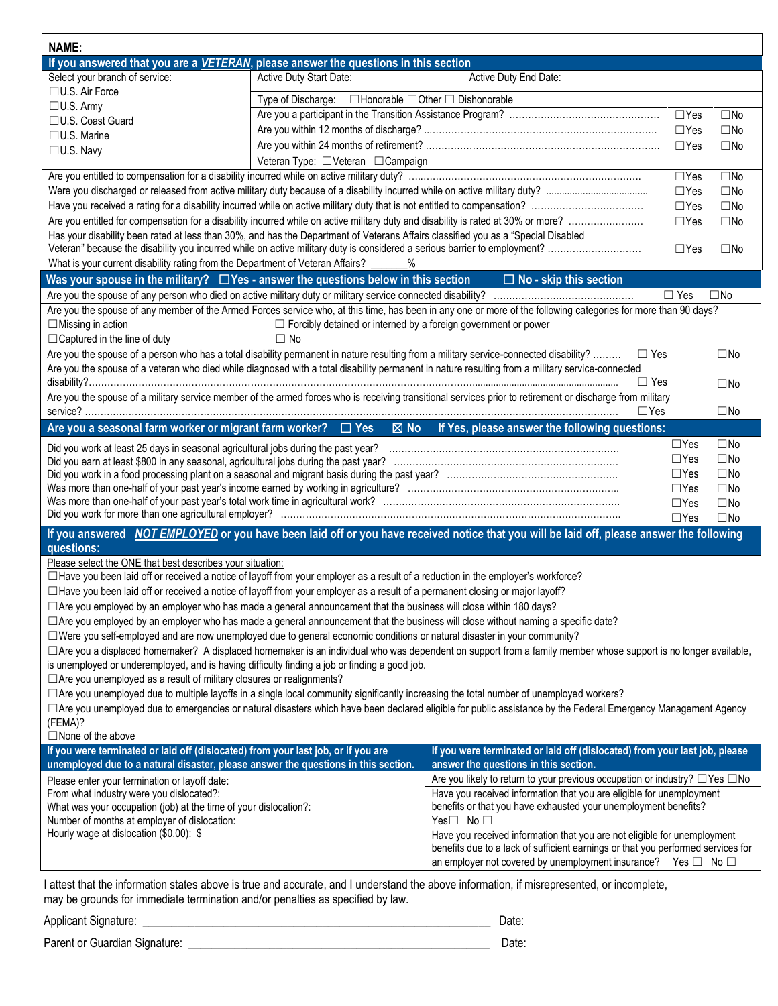| NAME:                                                                                                                                                                                                                                                         |                                                                                                                                                  |                                                                                                                                                                 |                              |  |  |  |  |  |
|---------------------------------------------------------------------------------------------------------------------------------------------------------------------------------------------------------------------------------------------------------------|--------------------------------------------------------------------------------------------------------------------------------------------------|-----------------------------------------------------------------------------------------------------------------------------------------------------------------|------------------------------|--|--|--|--|--|
|                                                                                                                                                                                                                                                               | If you answered that you are a VETERAN, please answer the questions in this section                                                              |                                                                                                                                                                 |                              |  |  |  |  |  |
| Select your branch of service:                                                                                                                                                                                                                                | Active Duty Start Date:                                                                                                                          | Active Duty End Date:                                                                                                                                           |                              |  |  |  |  |  |
| □U.S. Air Force                                                                                                                                                                                                                                               | □Honorable □Other □ Dishonorable<br>Type of Discharge:                                                                                           |                                                                                                                                                                 |                              |  |  |  |  |  |
| $\Box$ U.S. Army                                                                                                                                                                                                                                              |                                                                                                                                                  |                                                                                                                                                                 | $\square$ No<br>$\Box$ Yes   |  |  |  |  |  |
| □U.S. Coast Guard                                                                                                                                                                                                                                             |                                                                                                                                                  | $\Box$ Yes<br>$\square$ No                                                                                                                                      |                              |  |  |  |  |  |
| $\Box$ U.S. Marine                                                                                                                                                                                                                                            |                                                                                                                                                  |                                                                                                                                                                 |                              |  |  |  |  |  |
| $\Box$ U.S. Navy                                                                                                                                                                                                                                              |                                                                                                                                                  |                                                                                                                                                                 | $\Box$ Yes<br>$\square$ No   |  |  |  |  |  |
| Veteran Type: □Veteran □Campaign<br>$\square$ No<br>$\Box$ Yes                                                                                                                                                                                                |                                                                                                                                                  |                                                                                                                                                                 |                              |  |  |  |  |  |
|                                                                                                                                                                                                                                                               |                                                                                                                                                  |                                                                                                                                                                 |                              |  |  |  |  |  |
|                                                                                                                                                                                                                                                               |                                                                                                                                                  |                                                                                                                                                                 |                              |  |  |  |  |  |
|                                                                                                                                                                                                                                                               |                                                                                                                                                  |                                                                                                                                                                 |                              |  |  |  |  |  |
|                                                                                                                                                                                                                                                               |                                                                                                                                                  |                                                                                                                                                                 | $\Box$ Yes<br>$\square$ No   |  |  |  |  |  |
|                                                                                                                                                                                                                                                               | Has your disability been rated at less than 30%, and has the Department of Veterans Affairs classified you as a "Special Disabled                |                                                                                                                                                                 |                              |  |  |  |  |  |
|                                                                                                                                                                                                                                                               |                                                                                                                                                  |                                                                                                                                                                 | $\Box$ Yes<br>$\square$ No   |  |  |  |  |  |
| What is your current disability rating from the Department of Veteran Affairs?                                                                                                                                                                                | $\%$                                                                                                                                             |                                                                                                                                                                 |                              |  |  |  |  |  |
|                                                                                                                                                                                                                                                               | Was your spouse in the military? $\square$ Yes - answer the questions below in this section                                                      | $\Box$ No - skip this section                                                                                                                                   |                              |  |  |  |  |  |
|                                                                                                                                                                                                                                                               |                                                                                                                                                  | $\Box$ Yes                                                                                                                                                      | $\square$ No                 |  |  |  |  |  |
|                                                                                                                                                                                                                                                               |                                                                                                                                                  | Are you the spouse of any member of the Armed Forces service who, at this time, has been in any one or more of the following categories for more than 90 days?  |                              |  |  |  |  |  |
| $\Box$ Missing in action                                                                                                                                                                                                                                      | $\Box$ Forcibly detained or interned by a foreign government or power                                                                            |                                                                                                                                                                 |                              |  |  |  |  |  |
| $\Box$ Captured in the line of duty                                                                                                                                                                                                                           | $\Box$ No                                                                                                                                        |                                                                                                                                                                 |                              |  |  |  |  |  |
|                                                                                                                                                                                                                                                               | Are you the spouse of a person who has a total disability permanent in nature resulting from a military service-connected disability?            | $\Box$ Yes                                                                                                                                                      | $\square$ No                 |  |  |  |  |  |
|                                                                                                                                                                                                                                                               | Are you the spouse of a veteran who died while diagnosed with a total disability permanent in nature resulting from a military service-connected |                                                                                                                                                                 |                              |  |  |  |  |  |
|                                                                                                                                                                                                                                                               |                                                                                                                                                  | $\Box$ Yes                                                                                                                                                      | $\square$ No                 |  |  |  |  |  |
|                                                                                                                                                                                                                                                               |                                                                                                                                                  | Are you the spouse of a military service member of the armed forces who is receiving transitional services prior to retirement or discharge from military       |                              |  |  |  |  |  |
|                                                                                                                                                                                                                                                               |                                                                                                                                                  | $\Box$ Yes                                                                                                                                                      | $\square$ No                 |  |  |  |  |  |
|                                                                                                                                                                                                                                                               |                                                                                                                                                  |                                                                                                                                                                 |                              |  |  |  |  |  |
| Are you a seasonal farm worker or migrant farm worker? $\Box$ Yes                                                                                                                                                                                             |                                                                                                                                                  | $\boxtimes$ No If Yes, please answer the following questions:                                                                                                   |                              |  |  |  |  |  |
|                                                                                                                                                                                                                                                               |                                                                                                                                                  | $\Box$ Yes<br>$\Box$ Yes                                                                                                                                        | $\square$ No<br>$\square$ No |  |  |  |  |  |
|                                                                                                                                                                                                                                                               |                                                                                                                                                  |                                                                                                                                                                 |                              |  |  |  |  |  |
|                                                                                                                                                                                                                                                               |                                                                                                                                                  |                                                                                                                                                                 |                              |  |  |  |  |  |
|                                                                                                                                                                                                                                                               |                                                                                                                                                  |                                                                                                                                                                 |                              |  |  |  |  |  |
|                                                                                                                                                                                                                                                               |                                                                                                                                                  |                                                                                                                                                                 |                              |  |  |  |  |  |
|                                                                                                                                                                                                                                                               |                                                                                                                                                  |                                                                                                                                                                 |                              |  |  |  |  |  |
| If you answered NOT EMPLOYED or you have been laid off or you have received notice that you will be laid off, please answer the following                                                                                                                     |                                                                                                                                                  |                                                                                                                                                                 |                              |  |  |  |  |  |
| questions:                                                                                                                                                                                                                                                    |                                                                                                                                                  |                                                                                                                                                                 |                              |  |  |  |  |  |
| Please select the ONE that best describes your situation:                                                                                                                                                                                                     |                                                                                                                                                  |                                                                                                                                                                 |                              |  |  |  |  |  |
|                                                                                                                                                                                                                                                               | □Have you been laid off or received a notice of layoff from your employer as a result of a reduction in the employer's workforce?                |                                                                                                                                                                 |                              |  |  |  |  |  |
|                                                                                                                                                                                                                                                               | □ Have you been laid off or received a notice of layoff from your employer as a result of a permanent closing or major layoff?                   |                                                                                                                                                                 |                              |  |  |  |  |  |
|                                                                                                                                                                                                                                                               | $\Box$ Are you employed by an employer who has made a general announcement that the business will close within 180 days?                         |                                                                                                                                                                 |                              |  |  |  |  |  |
|                                                                                                                                                                                                                                                               |                                                                                                                                                  |                                                                                                                                                                 |                              |  |  |  |  |  |
| □Are you employed by an employer who has made a general announcement that the business will close without naming a specific date?<br>□Were you self-employed and are now unemployed due to general economic conditions or natural disaster in your community? |                                                                                                                                                  |                                                                                                                                                                 |                              |  |  |  |  |  |
|                                                                                                                                                                                                                                                               |                                                                                                                                                  | □ Are you a displaced homemaker? A displaced homemaker is an individual who was dependent on support from a family member whose support is no longer available, |                              |  |  |  |  |  |
| is unemployed or underemployed, and is having difficulty finding a job or finding a good job.                                                                                                                                                                 |                                                                                                                                                  |                                                                                                                                                                 |                              |  |  |  |  |  |
| $\Box$ Are you unemployed as a result of military closures or realignments?                                                                                                                                                                                   |                                                                                                                                                  |                                                                                                                                                                 |                              |  |  |  |  |  |
|                                                                                                                                                                                                                                                               | □ Are you unemployed due to multiple layoffs in a single local community significantly increasing the total number of unemployed workers?        |                                                                                                                                                                 |                              |  |  |  |  |  |
|                                                                                                                                                                                                                                                               |                                                                                                                                                  |                                                                                                                                                                 |                              |  |  |  |  |  |
| □ Are you unemployed due to emergencies or natural disasters which have been declared eligible for public assistance by the Federal Emergency Management Agency                                                                                               |                                                                                                                                                  |                                                                                                                                                                 |                              |  |  |  |  |  |
| (FEMA)?<br>$\Box$ None of the above                                                                                                                                                                                                                           |                                                                                                                                                  |                                                                                                                                                                 |                              |  |  |  |  |  |
| If you were terminated or laid off (dislocated) from your last job, or if you are                                                                                                                                                                             |                                                                                                                                                  | If you were terminated or laid off (dislocated) from your last job, please                                                                                      |                              |  |  |  |  |  |
| unemployed due to a natural disaster, please answer the questions in this section.                                                                                                                                                                            |                                                                                                                                                  | answer the questions in this section.                                                                                                                           |                              |  |  |  |  |  |
|                                                                                                                                                                                                                                                               |                                                                                                                                                  | Are you likely to return to your previous occupation or industry? □ Yes □ No                                                                                    |                              |  |  |  |  |  |
| Please enter your termination or layoff date:<br>From what industry were you dislocated?:                                                                                                                                                                     |                                                                                                                                                  | Have you received information that you are eligible for unemployment                                                                                            |                              |  |  |  |  |  |
| What was your occupation (job) at the time of your dislocation?:                                                                                                                                                                                              |                                                                                                                                                  | benefits or that you have exhausted your unemployment benefits?                                                                                                 |                              |  |  |  |  |  |
| Number of months at employer of dislocation:                                                                                                                                                                                                                  |                                                                                                                                                  | Yes□ No □                                                                                                                                                       |                              |  |  |  |  |  |
| Hourly wage at dislocation (\$0.00): \$                                                                                                                                                                                                                       |                                                                                                                                                  | Have you received information that you are not eligible for unemployment                                                                                        |                              |  |  |  |  |  |
|                                                                                                                                                                                                                                                               |                                                                                                                                                  | benefits due to a lack of sufficient earnings or that you performed services for                                                                                |                              |  |  |  |  |  |
|                                                                                                                                                                                                                                                               |                                                                                                                                                  | an employer not covered by unemployment insurance?                                                                                                              | Yes $\Box$ No $\Box$         |  |  |  |  |  |
| I attest that the information states above is true and accurate, and I understand the above information, if misrepresented, or incomplete,                                                                                                                    |                                                                                                                                                  |                                                                                                                                                                 |                              |  |  |  |  |  |

|  |  | may be grounds for immediate termination and/or penalties as specified by law. |  |  |  |
|--|--|--------------------------------------------------------------------------------|--|--|--|
|  |  |                                                                                |  |  |  |
|  |  |                                                                                |  |  |  |

Applicant Signature: \_\_\_\_\_\_\_\_\_\_\_\_\_\_\_\_\_\_\_\_\_\_\_\_\_\_\_\_\_\_\_\_\_\_\_\_\_\_\_\_\_\_\_\_\_\_\_\_\_\_\_\_\_\_\_\_\_\_\_\_ Date:

Parent or Guardian Signature: \_\_\_\_\_\_\_\_\_\_\_\_\_\_\_\_\_\_\_\_\_\_\_\_\_\_\_\_\_\_\_\_\_\_\_\_\_\_\_\_\_\_\_\_\_\_\_\_\_\_\_\_ Date: